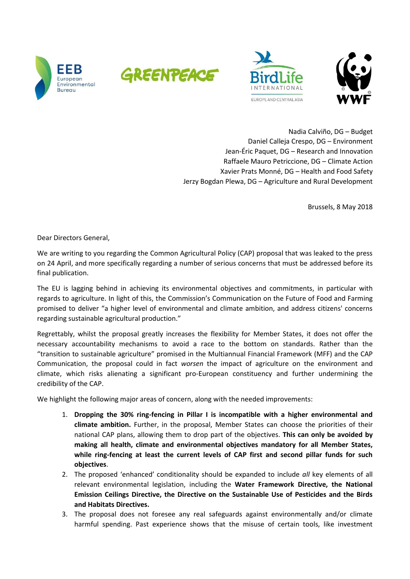







Nadia Calviño, DG – Budget Daniel Calleja Crespo, DG – Environment Jean-Éric Paquet, DG – Research and Innovation Raffaele Mauro Petriccione, DG – Climate Action Xavier Prats Monné, DG – Health and Food Safety Jerzy Bogdan Plewa, DG – Agriculture and Rural Development

Brussels, 8 May 2018

Dear Directors General,

We are writing to you regarding the Common Agricultural Policy (CAP) proposal that was leaked to the press on 24 April, and more specifically regarding a number of serious concerns that must be addressed before its final publication.

The EU is lagging behind in achieving its environmental objectives and commitments, in particular with regards to agriculture. In light of this, the Commission's Communication on the Future of Food and Farming promised to deliver "a higher level of environmental and climate ambition, and address citizens' concerns regarding sustainable agricultural production."

Regrettably, whilst the proposal greatly increases the flexibility for Member States, it does not offer the necessary accountability mechanisms to avoid a race to the bottom on standards. Rather than the "transition to sustainable agriculture" promised in the Multiannual Financial Framework (MFF) and the CAP Communication, the proposal could in fact *worsen* the impact of agriculture on the environment and climate, which risks alienating a significant pro-European constituency and further undermining the credibility of the CAP.

We highlight the following major areas of concern, along with the needed improvements:

- 1. **Dropping the 30% ring-fencing in Pillar I is incompatible with a higher environmental and climate ambition.** Further, in the proposal, Member States can choose the priorities of their national CAP plans, allowing them to drop part of the objectives. **This can only be avoided by making all health, climate and environmental objectives mandatory for all Member States, while ring-fencing at least the current levels of CAP first and second pillar funds for such objectives**.
- 2. The proposed 'enhanced' conditionality should be expanded to include *all* key elements of all relevant environmental legislation, including the **Water Framework Directive, the National Emission Ceilings Directive, the Directive on the Sustainable Use of Pesticides and the Birds and Habitats Directives.**
- 3. The proposal does not foresee any real safeguards against environmentally and/or climate harmful spending. Past experience shows that the misuse of certain tools, like investment